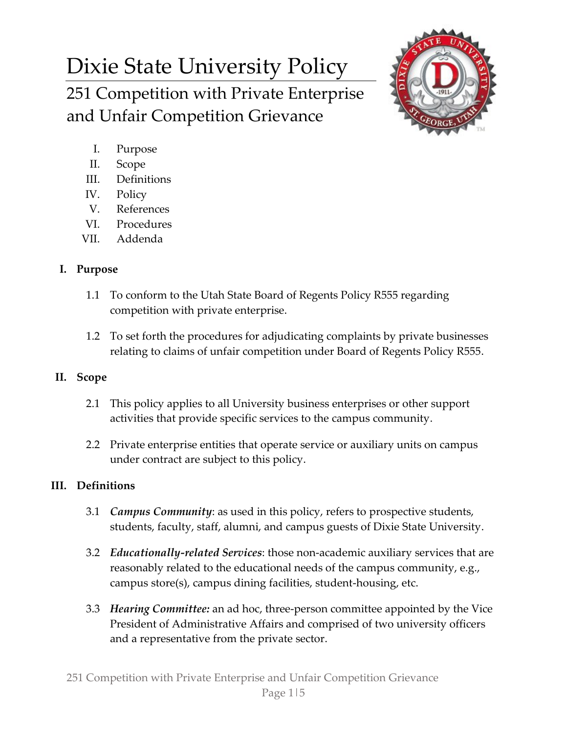# Dixie State University Policy

251 Competition with Private Enterprise and Unfair Competition Grievance



- I. Purpose
- II. Scope
- III. Definitions
- IV. Policy
- V. References
- VI. Procedures
- VII. Addenda

## **I. Purpose**

- 1.1 To conform to the Utah State Board of Regents Policy R555 regarding competition with private enterprise.
- 1.2 To set forth the procedures for adjudicating complaints by private businesses relating to claims of unfair competition under Board of Regents Policy R555.

## **II. Scope**

- 2.1 This policy applies to all University business enterprises or other support activities that provide specific services to the campus community.
- 2.2 Private enterprise entities that operate service or auxiliary units on campus under contract are subject to this policy.

## **III. Definitions**

- 3.1 *Campus Community*: as used in this policy, refers to prospective students, students, faculty, staff, alumni, and campus guests of Dixie State University.
- 3.2 *Educationally-related Services*: those non-academic auxiliary services that are reasonably related to the educational needs of the campus community, e.g., campus store(s), campus dining facilities, student-housing, etc.
- 3.3 *Hearing Committee:* an ad hoc, three-person committee appointed by the Vice President of Administrative Affairs and comprised of two university officers and a representative from the private sector.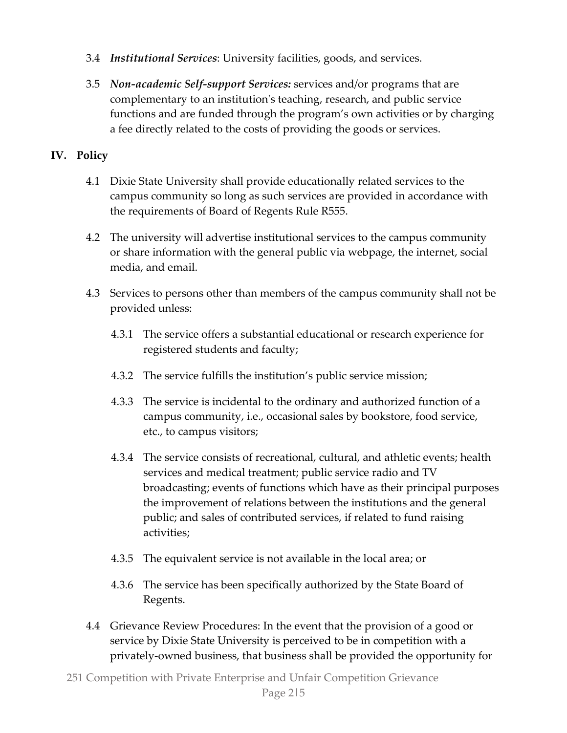- 3.4 *Institutional Services*: University facilities, goods, and services.
- 3.5 *Non-academic Self-support Services:* services and/or programs that are complementary to an institution's teaching, research, and public service functions and are funded through the program's own activities or by charging a fee directly related to the costs of providing the goods or services.

#### **IV. Policy**

- 4.1 Dixie State University shall provide educationally related services to the campus community so long as such services are provided in accordance with the requirements of Board of Regents Rule R555.
- 4.2 The university will advertise institutional services to the campus community or share information with the general public via webpage, the internet, social media, and email.
- 4.3 Services to persons other than members of the campus community shall not be provided unless:
	- 4.3.1 The service offers a substantial educational or research experience for registered students and faculty;
	- 4.3.2 The service fulfills the institution's public service mission;
	- 4.3.3 The service is incidental to the ordinary and authorized function of a campus community, i.e., occasional sales by bookstore, food service, etc., to campus visitors;
	- 4.3.4 The service consists of recreational, cultural, and athletic events; health services and medical treatment; public service radio and TV broadcasting; events of functions which have as their principal purposes the improvement of relations between the institutions and the general public; and sales of contributed services, if related to fund raising activities;
	- 4.3.5 The equivalent service is not available in the local area; or
	- 4.3.6 The service has been specifically authorized by the State Board of Regents.
- 4.4 Grievance Review Procedures: In the event that the provision of a good or service by Dixie State University is perceived to be in competition with a privately-owned business, that business shall be provided the opportunity for
- 251 Competition with Private Enterprise and Unfair Competition Grievance Page 2|5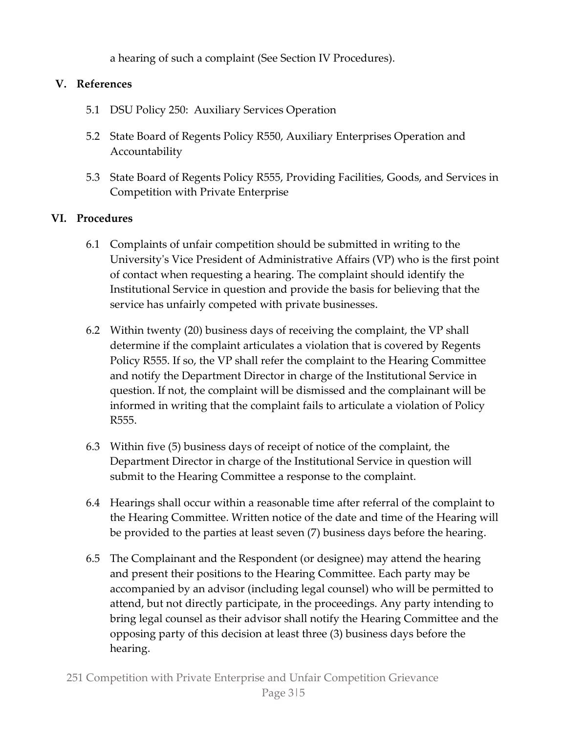a hearing of such a complaint (See Section IV Procedures).

#### **V. References**

- 5.1 DSU Policy 250: Auxiliary Services Operation
- 5.2 State Board of Regents Policy R550, Auxiliary Enterprises Operation and Accountability
- 5.3 State Board of Regents Policy R555, Providing Facilities, Goods, and Services in Competition with Private Enterprise

#### **VI. Procedures**

- 6.1 Complaints of unfair competition should be submitted in writing to the University's Vice President of Administrative Affairs (VP) who is the first point of contact when requesting a hearing. The complaint should identify the Institutional Service in question and provide the basis for believing that the service has unfairly competed with private businesses.
- 6.2 Within twenty (20) business days of receiving the complaint, the VP shall determine if the complaint articulates a violation that is covered by Regents Policy R555. If so, the VP shall refer the complaint to the Hearing Committee and notify the Department Director in charge of the Institutional Service in question. If not, the complaint will be dismissed and the complainant will be informed in writing that the complaint fails to articulate a violation of Policy R555.
- 6.3 Within five (5) business days of receipt of notice of the complaint, the Department Director in charge of the Institutional Service in question will submit to the Hearing Committee a response to the complaint.
- 6.4 Hearings shall occur within a reasonable time after referral of the complaint to the Hearing Committee. Written notice of the date and time of the Hearing will be provided to the parties at least seven (7) business days before the hearing.
- 6.5 The Complainant and the Respondent (or designee) may attend the hearing and present their positions to the Hearing Committee. Each party may be accompanied by an advisor (including legal counsel) who will be permitted to attend, but not directly participate, in the proceedings. Any party intending to bring legal counsel as their advisor shall notify the Hearing Committee and the opposing party of this decision at least three (3) business days before the hearing.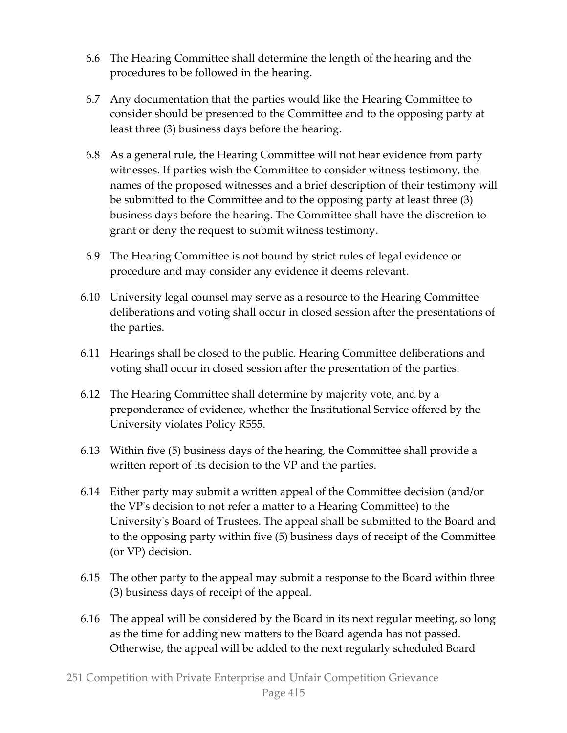- 6.6 The Hearing Committee shall determine the length of the hearing and the procedures to be followed in the hearing.
- 6.7 Any documentation that the parties would like the Hearing Committee to consider should be presented to the Committee and to the opposing party at least three (3) business days before the hearing.
- 6.8 As a general rule, the Hearing Committee will not hear evidence from party witnesses. If parties wish the Committee to consider witness testimony, the names of the proposed witnesses and a brief description of their testimony will be submitted to the Committee and to the opposing party at least three (3) business days before the hearing. The Committee shall have the discretion to grant or deny the request to submit witness testimony.
- 6.9 The Hearing Committee is not bound by strict rules of legal evidence or procedure and may consider any evidence it deems relevant.
- 6.10 University legal counsel may serve as a resource to the Hearing Committee deliberations and voting shall occur in closed session after the presentations of the parties.
- 6.11 Hearings shall be closed to the public. Hearing Committee deliberations and voting shall occur in closed session after the presentation of the parties.
- 6.12 The Hearing Committee shall determine by majority vote, and by a preponderance of evidence, whether the Institutional Service offered by the University violates Policy R555.
- 6.13 Within five (5) business days of the hearing, the Committee shall provide a written report of its decision to the VP and the parties.
- 6.14 Either party may submit a written appeal of the Committee decision (and/or the VP's decision to not refer a matter to a Hearing Committee) to the University's Board of Trustees. The appeal shall be submitted to the Board and to the opposing party within five (5) business days of receipt of the Committee (or VP) decision.
- 6.15 The other party to the appeal may submit a response to the Board within three (3) business days of receipt of the appeal.
- 6.16 The appeal will be considered by the Board in its next regular meeting, so long as the time for adding new matters to the Board agenda has not passed. Otherwise, the appeal will be added to the next regularly scheduled Board